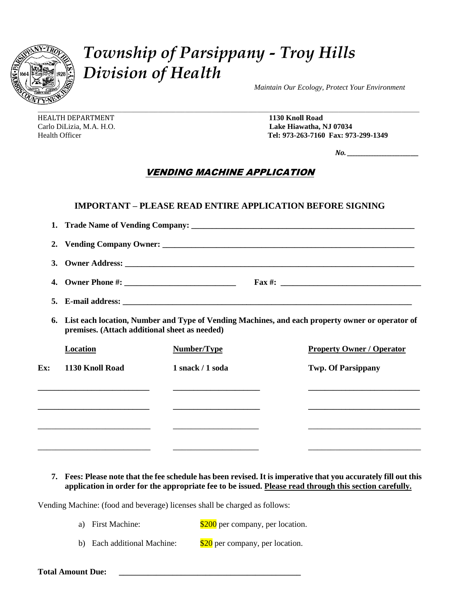

## *Township of Parsippany - Troy Hills Division of Health*

 *Maintain Our Ecology, Protect Your Environment*

HEALTH DEPARTMENT**1130 Knoll Road**

Carlo DiLizia, M.A. H.O. **Lake Hiawatha, NJ 07034** Health Officer **Tel: 973-263-7160 Fax: 973-299-1349**

 *No. \_\_\_\_\_\_\_\_\_\_\_\_\_\_\_\_\_\_\_\_\_\_\_\_\_\_\_*

## VENDING MACHINE APPLICATION

|     |                                                                                                                                                  | <b>IMPORTANT – PLEASE READ ENTIRE APPLICATION BEFORE SIGNING</b> |  |                                  |
|-----|--------------------------------------------------------------------------------------------------------------------------------------------------|------------------------------------------------------------------|--|----------------------------------|
| 1.  |                                                                                                                                                  |                                                                  |  |                                  |
| 2.  |                                                                                                                                                  |                                                                  |  |                                  |
|     |                                                                                                                                                  |                                                                  |  |                                  |
|     |                                                                                                                                                  |                                                                  |  |                                  |
|     |                                                                                                                                                  |                                                                  |  |                                  |
| 6.  | List each location, Number and Type of Vending Machines, and each property owner or operator of<br>premises. (Attach additional sheet as needed) |                                                                  |  |                                  |
|     | Location                                                                                                                                         | Number/Type                                                      |  | <b>Property Owner / Operator</b> |
| Ex: | 1130 Knoll Road                                                                                                                                  | 1 snack / 1 soda                                                 |  | <b>Twp. Of Parsippany</b>        |
|     | <u> 1989 - Johann Harry Harry Harry Harry Harry Harry Harry Harry Harry Harry Harry Harry Harry Harry Harry Harry</u>                            |                                                                  |  |                                  |
|     |                                                                                                                                                  |                                                                  |  |                                  |
|     |                                                                                                                                                  |                                                                  |  |                                  |

## **7. Fees: Please note that the fee schedule has been revised. It is imperative that you accurately fill out this application in order for the appropriate fee to be issued. Please read through this section carefully.**

\_\_\_\_\_\_\_\_\_\_\_\_\_\_\_\_\_\_\_\_\_\_\_\_\_ \_\_\_\_\_\_\_\_\_\_\_\_\_\_\_\_\_\_\_ \_\_\_\_\_\_\_\_\_\_\_\_\_\_\_\_\_\_\_\_\_\_\_\_\_

Vending Machine: (food and beverage) licenses shall be charged as follows:

- a) First Machine:  $\frac{$200}{$200}$  per company, per location.
- b) Each additional Machine:  $\frac{$20}{$20}$  per company, per location.

**Total Amount Due: \_\_\_\_\_\_\_\_\_\_\_\_\_\_\_\_\_\_\_\_\_\_\_\_\_\_\_\_\_\_\_\_\_\_\_\_\_\_\_\_\_\_\_\_**